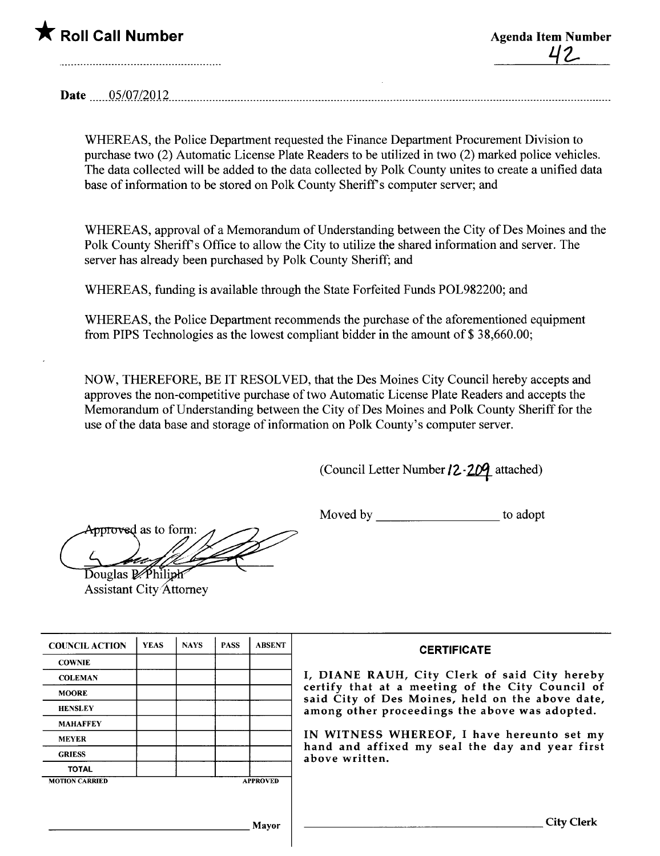

Date \_ \_ \_ \_ \_ \_ Q\_~!Q7l2Q 12\_ \_ \_ \_ \_ \_ \_ \_ \_ \_ \_ \_ \_ \_ \_ \_ \_ \_\_\_\_ \_ \_\_ \_ \_ \_ \_ \_ \_ \_ \_ \_ \_ \_ \_\_\_\_ \_ \_\_\_ \_ \_ \_ \_ \_\_\_\_\_ \_ \_ \_ \_ \_ \_ \_\_\_\_\_\_\_\_ \_ \_ \_ \_ \_ \_\_\_\_\_ \_ \_ \_ \_\_ \_ \_ \_ \_ \_\_ \_ \_ \_ \_\_ \_ \_ \_\_\_ \_\_\_\_ \_ \_ \_\_ \_\_ \_ \_ \_ \_ \_ \_ \_\_\_\_\_\_\_ \_ \_ \_ \_ \_ \_\_\_\_\_ \_\_\_\_\_\_\_\_\_ \_ \_\_

WHEREAS, the Police Deparment requested the Finance Deparment Procurement Division to purchase two (2) Automatic License Plate Readers to be utilized in two (2) marked police vehicles. The data collected will be added to the data collected by Polk County unites to create a unified data base of information to be stored on Polk County Sheriff s computer server; and

WHEREAS, approval of a Memorandum of Understanding between the City of Des Moines and the Polk County Sheriff's Office to allow the City to utilize the shared information and server. The server has already been purchased by Polk County Sheriff; and

WHEREAS, funding is available through the State Forfeited Funds POL982200; and

WHEREAS, the Police Department recommends the purchase of the aforementioned equipment from PIPS Technologies as the lowest compliant bidder in the amount of \$ 38,660.00;

NOW, THEREFORE, BE IT RESOLVED, that the Des Moines City Council hereby accepts and approves the non-competitive purchase of two Automatic License Plate Readers and accepts the Memorandum of Understanding between the City of Des Moines and Polk County Sheriff for the use of the data base and storage of information on Polk County's computer server.

(Council Letter Number 12-209 attached)

Moved by to adopt

Approved as to form: Douglas P. Philiph

**Assistant City Attorney** 

| <b>COUNCIL ACTION</b> | <b>YEAS</b> | <b>NAYS</b> | <b>PASS</b> | <b>ABSENT</b>   | <b>CERTIFICATE</b>                                                                                              |  |
|-----------------------|-------------|-------------|-------------|-----------------|-----------------------------------------------------------------------------------------------------------------|--|
| <b>COWNIE</b>         |             |             |             |                 |                                                                                                                 |  |
| <b>COLEMAN</b>        |             |             |             |                 | I, DIANE RAUH, City Clerk of said City hereby                                                                   |  |
| <b>MOORE</b>          |             |             |             |                 | certify that at a meeting of the City Council of<br>said City of Des Moines, held on the above date,            |  |
| <b>HENSLEY</b>        |             |             |             |                 | among other proceedings the above was adopted.                                                                  |  |
| <b>MAHAFFEY</b>       |             |             |             |                 |                                                                                                                 |  |
| <b>MEYER</b>          |             |             |             |                 | IN WITNESS WHEREOF, I have hereunto set my<br>hand and affixed my seal the day and year first<br>above written. |  |
| <b>GRIESS</b>         |             |             |             |                 |                                                                                                                 |  |
| <b>TOTAL</b>          |             |             |             |                 |                                                                                                                 |  |
| <b>MOTION CARRIED</b> |             |             |             | <b>APPROVED</b> |                                                                                                                 |  |
|                       |             |             |             |                 |                                                                                                                 |  |
| Mayor                 |             |             |             |                 | <b>City Clerk</b>                                                                                               |  |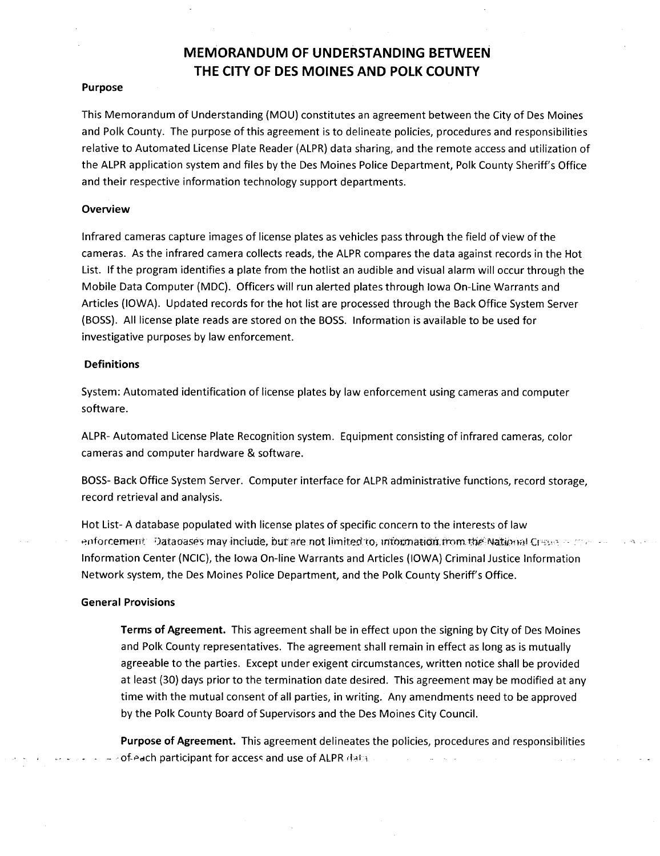# .<br>MEMORANDUM OF UNDERSTANDING BETWEEN THE CITY OF DES MOINES AND POLK COUNTY

### Purpose

This Memorandum of Understanding (MOU) constitutes an agreement between the City of Des Moines and Polk County. The purpose of this agreement is to delineate policies, procedures and responsibilities relative to Automated License Plate Reader (ALPR) data sharing, and the remote access and utilzation of the ALPR application system and files by the Des Moines Police Department, Polk County Sheriff's Office and their respective information technology support departments.

# Overview

Infrared cameras capture images of license plates as vehicles pass through the field of view of the cameras. As the infrared camera collects reads, the ALPR compares the data against records in the Hot List. If the program identifies a plate from the hotlist an audible and visual alarm will occur through the Mobile Data Computer (MDC). Officers will run alerted plates through Iowa On-Line Warrants and Articles (IOWA). Updated records for the hot list are processed through the Back Office System Server (BOSS). All license plate reads are stored on the BOSS. Information is available to be used for investigative purposes by law enforcement.

# Definitions

System: Automated identification of license plates by law enforcement using cameras and computer software.

ALPR- Automated License Plate Recognition system. Equipment consisting of infrared cameras, color cameras and computer hardware & software.

BOSS- Back Office System Server. Computer interface for ALPR administrative functions, record storage, record retrieval and analysis.

Hot List- A database populated with license plates of specific concern to the interests of law enforcement. Databasés may include, but are not limited to, information from the National Cress of the second Information Center (NCIC), the Iowa On-line Warrants and Articles (IOWA) Criminal Justice Information Network system, the Des Moines Police Department, and the Polk County Sheriff's Office.

#### General Provisions

Terms of Agreement. This agreement shall be in effect upon the signing by City of Des Moines and Polk County representatives. The agreement shall remain in effect as long as is mutually agreeable to the parties. Except under exigent circumstances, written notice shall be provided at least (30) days prior to the termination date desired. This agreement may be modified at any time with the mutual consent of all parties, in writing. Any amendments need to be approved by the Polk County Board of Supervisors and the Des Moines City CounciL.

Purpose of Agreement. This agreement delineates the policies, procedures and responsibilities of-each participant for access and use of ALPR data.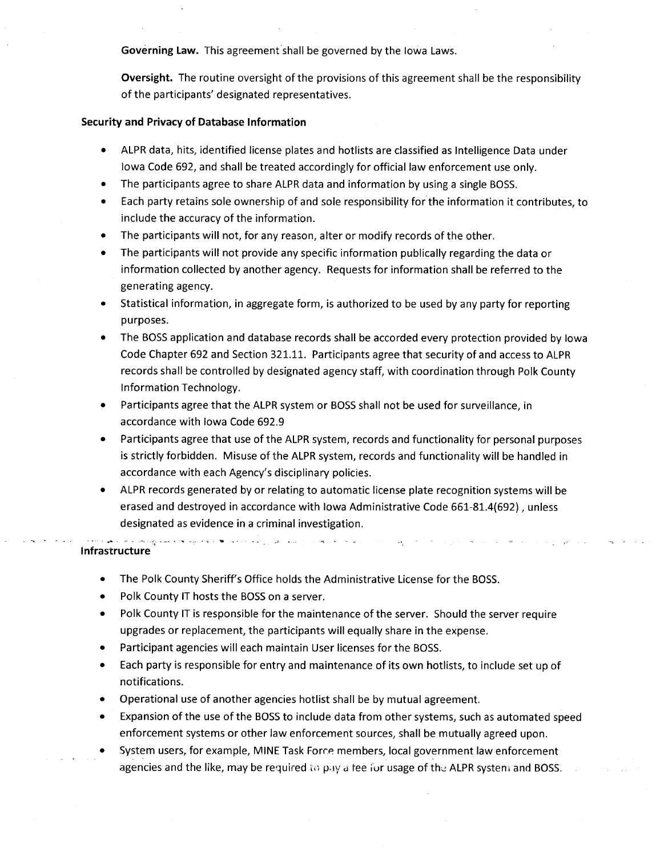Governing Law. This agreement shall be governed by the Iowa Laws.

Oversight. The routine oversight of the provisions of this agreement shall be the responsibility of the participants' designated representatives.

# Security and Privacy of Database Information

- · ALPR data, hits, identified license plates and hotlists are classified as Intelligence Data under Iowa Code 692, and shall be treated accordingly for official law enforcement use only.
- · The participants agree to share ALPR data and information by using a single BOSS.
- · Each party retains sole ownership of and sole responsibility for the information it contributes, to include the accuracy of the information.
- · The participants will not, for any reason, alter or modify records of the other.
- · The participants will not provide any specific information publically regarding the data or information collected by another agency. Requests for information shall be referred to the generating agency.
- · Statistical information, in aggregate form, is authorized to be used by any party for reporting purposes.
- · The BOSS application and database records shall be accorded every protection provided by Iowa Code Chapter 692 and Section 321.11. Participants agree that security of and access to ALPR records shall be controlled by designated agency staff, with coordination through Polk County Information Technology.
- · Participants agree that the ALPR system or BOSS shall not be used for surveillance, in accordance with Iowa Code 692.9
- · Participants agree that use of the ALPR system, records and functionality for personal purposes is strictly forbidden. Misuse of the ALPR system, records and functionality will be handled in accordance with each Agency's disciplinary policies.
- ALPR records generated by or relating to automatic license plate recognition systems will be erased and destroyed in accordance with Iowa Administrative Code 661-81.4(692) , unless designated as evidence in a criminal investigation.

 $\Delta\phi=0.05$ 

#### **Infrastructure**

- · The Polk County Sheriff's Office holds the Administrative License for the BOSS.
- . Polk County IT hosts the BOSS on a server.

.<br>- الأمرين - الأمريكي - المراجعين - الأمريكي - المراجع - المراجع - المراجع -

- . Polk County IT is responsible for the maintenance of the server. Should the server require upgrades or replacement, the participants will equally share in the expense.
- · Participant agencies wil each maintain User licenses for the BOSS.
- · Each party is responsible for entry and maintenance of its own hotlists, to include set up of notifications.
- · Operational use of another agencies hotlist shall be by mutual agreement.
- · Expansion of the use of the BOSS to include data from other systems, such as automated speed enforcement systems or other law enforcement sources, shall be mutually agreed upon.
- System users, for example, MINE Task Force members, local government law enforcement agencies and the like, may be required to pay a fee for usage of the ALPR system and BOSS.